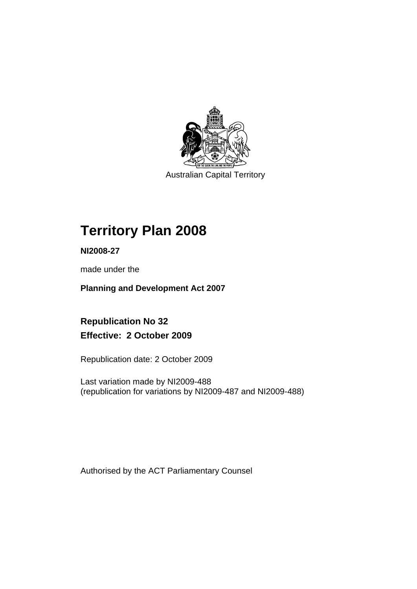

Australian Capital Territory

# **Territory Plan 2008**

**NI2008-27** 

made under the

**Planning and Development Act 2007** 

**Republication No 32 Effective: 2 October 2009** 

Republication date: 2 October 2009

Last variation made by NI2009-488 (republication for variations by NI2009-487 and NI2009-488)

Authorised by the ACT Parliamentary Counsel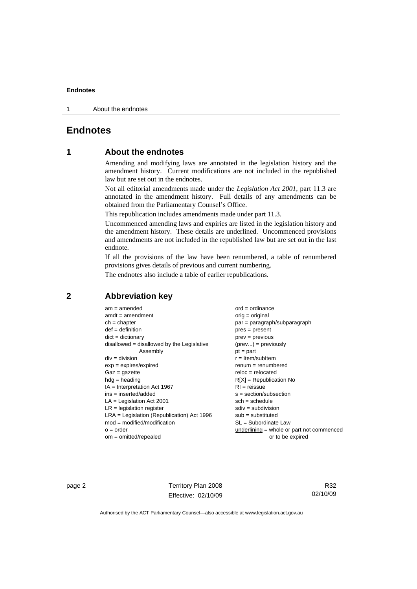1 About the endnotes

# **Endnotes**

# **1 About the endnotes**

Amending and modifying laws are annotated in the legislation history and the amendment history. Current modifications are not included in the republished law but are set out in the endnotes.

Not all editorial amendments made under the *Legislation Act 2001*, part 11.3 are annotated in the amendment history. Full details of any amendments can be obtained from the Parliamentary Counsel's Office.

This republication includes amendments made under part 11.3.

Uncommenced amending laws and expiries are listed in the legislation history and the amendment history. These details are underlined. Uncommenced provisions and amendments are not included in the republished law but are set out in the last endnote.

If all the provisions of the law have been renumbered, a table of renumbered provisions gives details of previous and current numbering.

The endnotes also include a table of earlier republications.

# **2 Abbreviation key**

| $am = amended$                               | $ord = ordinance$                   |
|----------------------------------------------|-------------------------------------|
| $amdt = amendment$                           | $orig = original$                   |
| $ch = chapter$                               | par = paragraph/subparagrapl        |
| $def = definition$                           | $pres = present$                    |
| $dict = dictionary$                          | $prev = previous$                   |
| $disallowed = disallowed by the Legislative$ | $(\text{prev}) = \text{previously}$ |
| Assembly                                     | $pt = part$                         |
| $div = division$                             | $r =$ Item/subItem                  |
| $exp = expires/expired$                      | $renum = renumbered$                |
| $Gaz = gazette$                              | $reloc = relocated$                 |
| $hda =$ heading                              | $R[X]$ = Republication No           |
| $IA = Interpretation Act 1967$               | $RI =$ reissue                      |
| ins = inserted/added                         | $s = section/subsection$            |
| $LA =$ Legislation Act 2001                  | $sch = schedule$                    |
| $LR =$ legislation register                  | $sdiv = subdivision$                |
| $LRA =$ Legislation (Republication) Act 1996 | $sub =$ substituted                 |
| $mod = modified/modification$                | $SL = Subordinate$ Law              |
| $o = order$                                  | underlining $=$ whole or part no    |
| $om = omitted/repealed$                      | or to be expired                    |

graph/subparagraph oreviously numbered vublication No /subsection rdinate Law = whole or part not commenced

page 2 Territory Plan 2008 Effective: 02/10/09

R32 02/10/09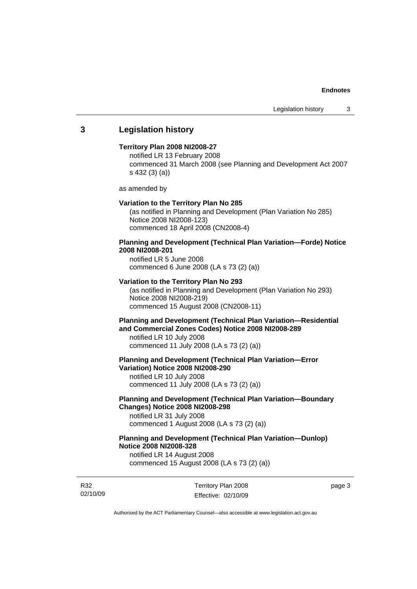# **3 Legislation history**

## **Territory Plan 2008 NI2008-27**

notified LR 13 February 2008 commenced 31 March 2008 (see Planning and Development Act 2007 s 432 (3) (a))

as amended by

#### **Variation to the Territory Plan No 285**

(as notified in Planning and Development (Plan Variation No 285) Notice 2008 NI2008-123) commenced 18 April 2008 (CN2008-4)

# **Planning and Development (Technical Plan Variation—Forde) Notice 2008 NI2008-201**

notified LR 5 June 2008 commenced 6 June 2008 (LA s 73 (2) (a))

## **Variation to the Territory Plan No 293**

(as notified in Planning and Development (Plan Variation No 293) Notice 2008 NI2008-219) commenced 15 August 2008 (CN2008-11)

# **Planning and Development (Technical Plan Variation—Residential and Commercial Zones Codes) Notice 2008 NI2008-289**

notified LR 10 July 2008 commenced 11 July 2008 (LA s 73 (2) (a))

## **Planning and Development (Technical Plan Variation—Error Variation) Notice 2008 NI2008-290**

notified LR 10 July 2008 commenced 11 July 2008 (LA s 73 (2) (a))

# **Planning and Development (Technical Plan Variation—Boundary Changes) Notice 2008 NI2008-298**

notified LR 31 July 2008 commenced 1 August 2008 (LA s 73 (2) (a))

# **Planning and Development (Technical Plan Variation—Dunlop) Notice 2008 NI2008-328**

notified LR 14 August 2008 commenced 15 August 2008 (LA s 73 (2) (a))

R32 02/10/09 Territory Plan 2008 Effective: 02/10/09 page 3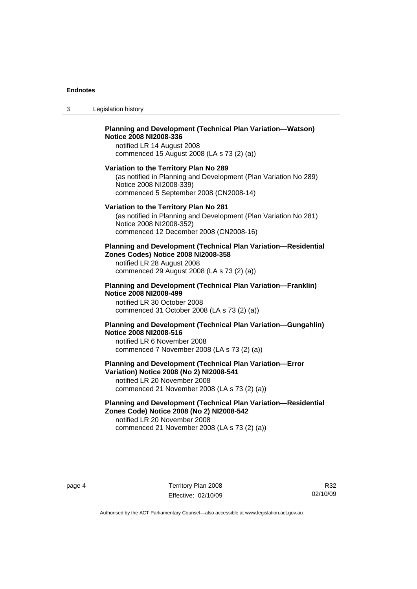3 Legislation history

# **Planning and Development (Technical Plan Variation—Watson) Notice 2008 NI2008-336**  notified LR 14 August 2008

commenced 15 August 2008 (LA s 73 (2) (a))

#### **Variation to the Territory Plan No 289**

(as notified in Planning and Development (Plan Variation No 289) Notice 2008 NI2008-339) commenced 5 September 2008 (CN2008-14)

#### **Variation to the Territory Plan No 281**

(as notified in Planning and Development (Plan Variation No 281) Notice 2008 NI2008-352) commenced 12 December 2008 (CN2008-16)

## **Planning and Development (Technical Plan Variation—Residential Zones Codes) Notice 2008 NI2008-358**

notified LR 28 August 2008 commenced 29 August 2008 (LA s 73 (2) (a))

#### **Planning and Development (Technical Plan Variation—Franklin) Notice 2008 NI2008-499**

notified LR 30 October 2008 commenced 31 October 2008 (LA s 73 (2) (a))

# **Planning and Development (Technical Plan Variation—Gungahlin) Notice 2008 NI2008-516**

notified LR 6 November 2008 commenced 7 November 2008 (LA s 73 (2) (a))

# **Planning and Development (Technical Plan Variation—Error Variation) Notice 2008 (No 2) NI2008-541**

notified LR 20 November 2008 commenced 21 November 2008 (LA s 73 (2) (a))

# **Planning and Development (Technical Plan Variation—Residential Zones Code) Notice 2008 (No 2) NI2008-542**

notified LR 20 November 2008 commenced 21 November 2008 (LA s 73 (2) (a))

R32 02/10/09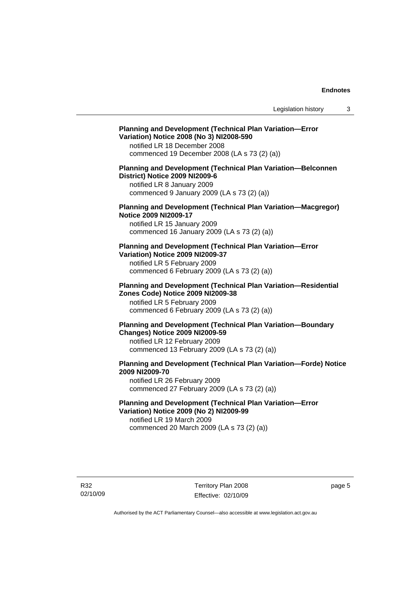# **Planning and Development (Technical Plan Variation—Error Variation) Notice 2008 (No 3) NI2008-590**

notified LR 18 December 2008 commenced 19 December 2008 (LA s 73 (2) (a))

# **Planning and Development (Technical Plan Variation—Belconnen District) Notice 2009 NI2009-6**

notified LR 8 January 2009 commenced 9 January 2009 (LA s 73 (2) (a))

# **Planning and Development (Technical Plan Variation—Macgregor) Notice 2009 NI2009-17**

notified LR 15 January 2009 commenced 16 January 2009 (LA s 73 (2) (a))

# **Planning and Development (Technical Plan Variation—Error Variation) Notice 2009 NI2009-37**

notified LR 5 February 2009 commenced 6 February 2009 (LA s 73 (2) (a))

#### **Planning and Development (Technical Plan Variation—Residential Zones Code) Notice 2009 NI2009-38**

notified LR 5 February 2009 commenced 6 February 2009 (LA s 73 (2) (a))

# **Planning and Development (Technical Plan Variation—Boundary Changes) Notice 2009 NI2009-59**

notified LR 12 February 2009 commenced 13 February 2009 (LA s 73 (2) (a))

# **Planning and Development (Technical Plan Variation—Forde) Notice 2009 NI2009-70**

notified LR 26 February 2009 commenced 27 February 2009 (LA s 73 (2) (a))

# **Planning and Development (Technical Plan Variation—Error Variation) Notice 2009 (No 2) NI2009-99**

notified LR 19 March 2009 commenced 20 March 2009 (LA s 73 (2) (a))

R32 02/10/09 Territory Plan 2008 Effective: 02/10/09 page 5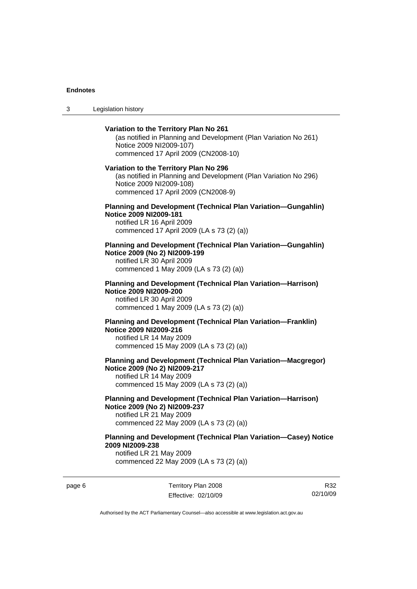3 Legislation history

# **Variation to the Territory Plan No 261**  (as notified in Planning and Development (Plan Variation No 261) Notice 2009 NI2009-107) commenced 17 April 2009 (CN2008-10) **Variation to the Territory Plan No 296**  (as notified in Planning and Development (Plan Variation No 296) Notice 2009 NI2009-108) commenced 17 April 2009 (CN2008-9) **Planning and Development (Technical Plan Variation—Gungahlin) Notice 2009 NI2009-181**  notified LR 16 April 2009 commenced 17 April 2009 (LA s 73 (2) (a)) **Planning and Development (Technical Plan Variation—Gungahlin) Notice 2009 (No 2) NI2009-199**  notified LR 30 April 2009 commenced 1 May 2009 (LA s 73 (2) (a)) **Planning and Development (Technical Plan Variation—Harrison) Notice 2009 NI2009-200**  notified LR 30 April 2009 commenced 1 May 2009 (LA s 73 (2) (a)) **Planning and Development (Technical Plan Variation—Franklin) Notice 2009 NI2009-216**  notified LR 14 May 2009 commenced 15 May 2009 (LA s 73 (2) (a)) **Planning and Development (Technical Plan Variation—Macgregor) Notice 2009 (No 2) NI2009-217**  notified LR 14 May 2009 commenced 15 May 2009 (LA s 73 (2) (a)) **Planning and Development (Technical Plan Variation—Harrison) Notice 2009 (No 2) NI2009-237**  notified LR 21 May 2009 commenced 22 May 2009 (LA s 73 (2) (a)) **Planning and Development (Technical Plan Variation—Casey) Notice 2009 NI2009-238**  notified LR 21 May 2009

commenced 22 May 2009 (LA s 73 (2) (a))

page 6 Territory Plan 2008 Effective: 02/10/09

R32 02/10/09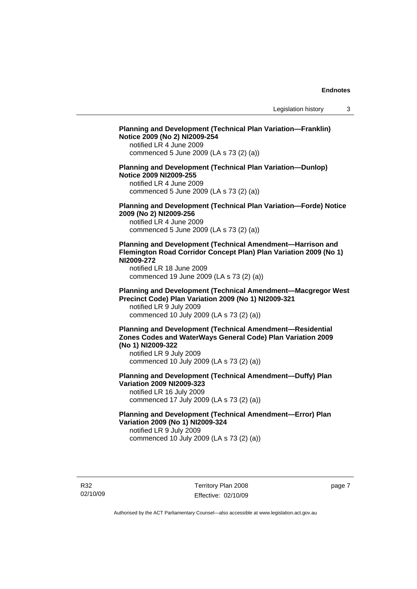# **Planning and Development (Technical Plan Variation—Franklin) Notice 2009 (No 2) NI2009-254**  notified LR 4 June 2009 commenced 5 June 2009 (LA s 73 (2) (a)) **Planning and Development (Technical Plan Variation—Dunlop) Notice 2009 NI2009-255**  notified LR 4 June 2009 commenced 5 June 2009 (LA s 73 (2) (a)) **Planning and Development (Technical Plan Variation—Forde) Notice 2009 (No 2) NI2009-256**  notified LR 4 June 2009 commenced 5 June 2009 (LA s 73 (2) (a)) **Planning and Development (Technical Amendment—Harrison and Flemington Road Corridor Concept Plan) Plan Variation 2009 (No 1) NI2009-272**  notified LR 18 June 2009 commenced 19 June 2009 (LA s 73 (2) (a)) **Planning and Development (Technical Amendment—Macgregor West Precinct Code) Plan Variation 2009 (No 1) NI2009-321**  notified LR 9 July 2009 commenced 10 July 2009 (LA s 73 (2) (a)) **Planning and Development (Technical Amendment—Residential Zones Codes and WaterWays General Code) Plan Variation 2009 (No 1) NI2009-322**  notified LR 9 July 2009 commenced 10 July 2009 (LA s 73 (2) (a)) **Planning and Development (Technical Amendment—Duffy) Plan Variation 2009 NI2009-323**  notified LR 16 July 2009 commenced 17 July 2009 (LA s 73 (2) (a)) **Planning and Development (Technical Amendment—Error) Plan**

**Variation 2009 (No 1) NI2009-324**  notified LR 9 July 2009 commenced 10 July 2009 (LA s 73 (2) (a))

R32 02/10/09 page 7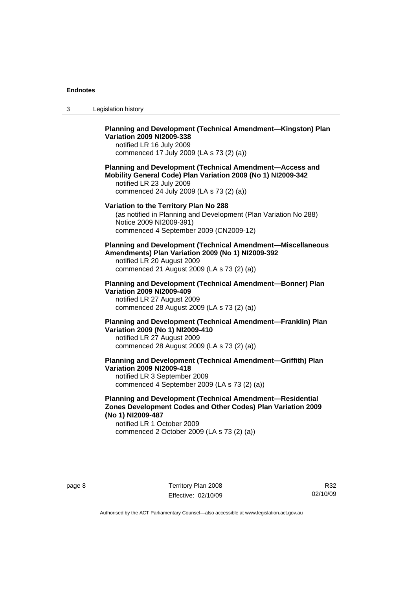3 Legislation history

# **Planning and Development (Technical Amendment—Kingston) Plan Variation 2009 NI2009-338**

notified LR 16 July 2009 commenced 17 July 2009 (LA s 73 (2) (a))

## **Planning and Development (Technical Amendment—Access and Mobility General Code) Plan Variation 2009 (No 1) NI2009-342**  notified LR 23 July 2009 commenced 24 July 2009 (LA s 73 (2) (a))

# **Variation to the Territory Plan No 288**

(as notified in Planning and Development (Plan Variation No 288) Notice 2009 NI2009-391) commenced 4 September 2009 (CN2009-12)

**Planning and Development (Technical Amendment—Miscellaneous Amendments) Plan Variation 2009 (No 1) NI2009-392**  notified LR 20 August 2009

commenced 21 August 2009 (LA s 73 (2) (a))

# **Planning and Development (Technical Amendment—Bonner) Plan Variation 2009 NI2009-409**

notified LR 27 August 2009 commenced 28 August 2009 (LA s 73 (2) (a))

## **Planning and Development (Technical Amendment—Franklin) Plan Variation 2009 (No 1) NI2009-410**  notified LR 27 August 2009 commenced 28 August 2009 (LA s 73 (2) (a))

## **Planning and Development (Technical Amendment—Griffith) Plan Variation 2009 NI2009-418**  notified LR 3 September 2009 commenced 4 September 2009 (LA s 73 (2) (a))

# **Planning and Development (Technical Amendment—Residential Zones Development Codes and Other Codes) Plan Variation 2009 (No 1) NI2009-487**

notified LR 1 October 2009 commenced 2 October 2009 (LA s 73 (2) (a))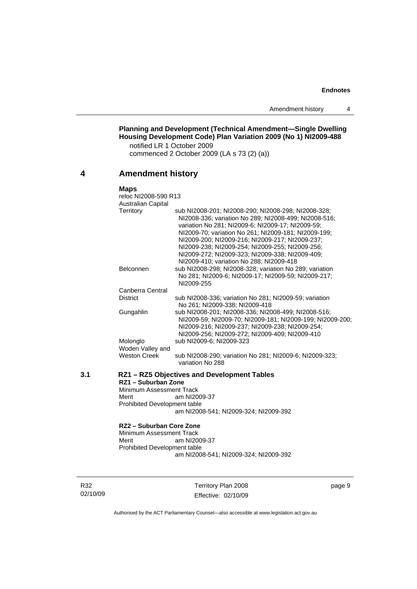**Planning and Development (Technical Amendment—Single Dwelling Housing Development Code) Plan Variation 2009 (No 1) NI2009-488**  notified LR 1 October 2009 commenced 2 October 2009 (LA s 73 (2) (a))

# **4 Amendment history**

#### **Maps**  reloc NI2008-590 R13 Australian Capital Territory sub NI2008-201; NI2008-290; NI2008-298; NI2008-328; NI2008-336; variation No 289; NI2008-499; NI2008-516; variation No 281; NI2009-6; NI2009-17; NI2009-59; NI2009-70; variation No 261; NI2009-181; NI2009-199; NI2009-200; NI2009-216; NI2009-217; NI2009-237; NI2009-238; NI2009-254; NI2009-255; NI2009-256; NI2009-272; NI2009-323; NI2009-338; NI2009-409; NI2009-410; variation No 288; NI2009-418 Belconnen sub NI2008-298; NI2008-328; variation No 289; variation No 281; NI2009-6; NI2009-17; NI2009-59; NI2009-217; NI2009-255 Canberra Central District sub NI2008-336; variation No 281; NI2009-59; variation No 261; NI2009-338; NI2009-418 Gungahlin sub NI2008-201; NI2008-336; NI2008-499; NI2008-516; NI2009-59; NI2009-70; NI2009-181; NI2009-199; NI2009-200; NI2009-216; NI2009-237; NI2009-238; NI2009-254; NI2009-256; NI2009-272; NI2009-409; NI2009-410 Molonglo sub NI2009-6; NI2009-323 Woden Valley and<br>Weston Creek sub NI2008-290; variation No 281; NI2009-6; NI2009-323; variation No 288 **3.1 RZ1 – RZ5 Objectives and Development Tables RZ1 – Suburban Zone**  Minimum Assessment Track Merit am NI2009-37 Prohibited Development table am NI2008-541; NI2009-324; NI2009-392 **RZ2 – Suburban Core Zone**

Minimum Assessment Track<br>Merit am NI20 am NI2009-37 Prohibited Development table am NI2008-541; NI2009-324; NI2009-392

R32 02/10/09 Territory Plan 2008 Effective: 02/10/09 page 9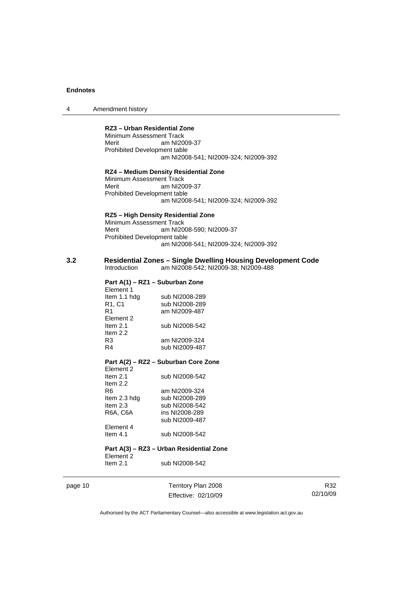4 Amendment history

# **RZ3 – Urban Residential Zone**

Minimum Assessment Track Merit am NI2009-37 Prohibited Development table am NI2008-541; NI2009-324; NI2009-392

## **RZ4 – Medium Density Residential Zone**

Minimum Assessment Track Merit am NI2009-37 Prohibited Development table am NI2008-541; NI2009-324; NI2009-392

#### **RZ5 – High Density Residential Zone**

Minimum Assessment Track Merit am NI2008-590; NI2009-37 Prohibited Development table am NI2008-541; NI2009-324; NI2009-392

#### **3.2 Residential Zones – Single Dwelling Housing Development Code**  am NI2008-542; NI2009-38; NI2009-488

# **Part A(1) – RZ1 – Suburban Zone**

| Element 1    |                |
|--------------|----------------|
| Item 1.1 hdg | sub NI2008-289 |
| R1, C1       | sub NI2008-289 |
| R1           | am NI2009-487  |
| Element 2    |                |
| Item $2.1$   | sub NI2008-542 |
| Item $2.2$   |                |
| R3           | am NI2009-324  |
| R4           | sub NI2009-487 |
|              |                |

#### **Part A(2) – RZ2 – Suburban Core Zone**  Element 2

| Item $2.1$   | sub NI2008-542 |
|--------------|----------------|
| Item $2.2$   |                |
| R6           | am NI2009-324  |
| Item 2.3 hdg | sub NI2008-289 |
| Item $2.3$   | sub NI2008-542 |
| R6A, C6A     | ins NI2008-289 |
|              | sub NI2009-487 |
| Element 4    |                |
| Item $4.1$   | sub NI2008-542 |

# **Part A(3) – RZ3 – Urban Residential Zone**

Element 2<br>Item 2.1 sub NI2008-542

page 10 Territory Plan 2008 Effective: 02/10/09

R32 02/10/09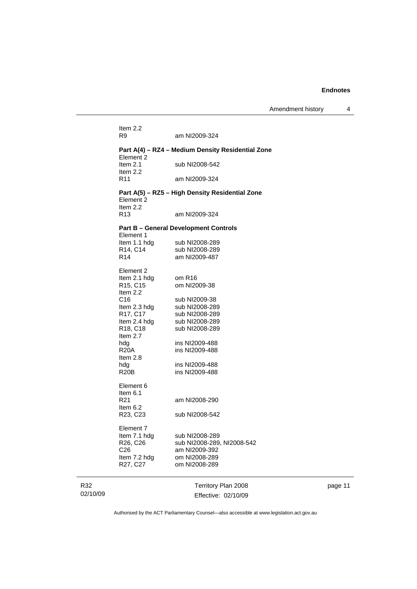| Item $2.2$<br>R9                  | am NI2009-324                                     |
|-----------------------------------|---------------------------------------------------|
| Element 2                         | Part A(4) – RZ4 – Medium Density Residential Zone |
| Item $2.1$<br>Item $2.2$          | sub NI2008-542                                    |
| R <sub>11</sub>                   | am NI2009-324                                     |
| Element 2                         | Part A(5) - RZ5 - High Density Residential Zone   |
| Item $2.2$<br>R <sub>13</sub>     | am NI2009-324                                     |
| Element 1                         | <b>Part B - General Development Controls</b>      |
| Item 1.1 hdg                      | sub NI2008-289                                    |
| R14, C14                          | sub NI2008-289                                    |
| R <sub>14</sub>                   | am NI2009-487                                     |
| Element 2                         |                                                   |
| Item 2.1 hdg                      | om R <sub>16</sub>                                |
| R <sub>15</sub> , C <sub>15</sub> | om NI2009-38                                      |
| Item 2.2<br>C <sub>16</sub>       | sub NI2009-38                                     |
| Item 2.3 hdg                      | sub NI2008-289                                    |
| R17, C17                          | sub NI2008-289                                    |
| Item 2.4 hdg                      | sub NI2008-289                                    |
| R <sub>18</sub> , C <sub>18</sub> | sub NI2008-289                                    |
| Item $2.7$                        |                                                   |
| hdg                               | ins NI2009-488                                    |
| R20A                              | ins NI2009-488                                    |
| Item $2.8$                        |                                                   |
| hdg                               | ins NI2009-488                                    |
| R <sub>20</sub> B                 | ins NI2009-488                                    |
| Element 6                         |                                                   |
| Item $6.1$                        |                                                   |
| R <sub>21</sub>                   | am NI2008-290                                     |
| Item $6.2$<br>R23, C23            | sub NI2008-542                                    |
| Element 7                         |                                                   |
| Item 7.1 hdg                      | sub NI2008-289                                    |
| R26, C26                          | sub NI2008-289, NI2008-542                        |
| C <sub>26</sub>                   | am NI2009-392                                     |
| ltem 7.2 hdg                      | om NI2008-289                                     |
|                                   |                                                   |

R32 02/10/09

J.

Territory Plan 2008 Effective: 02/10/09 page 11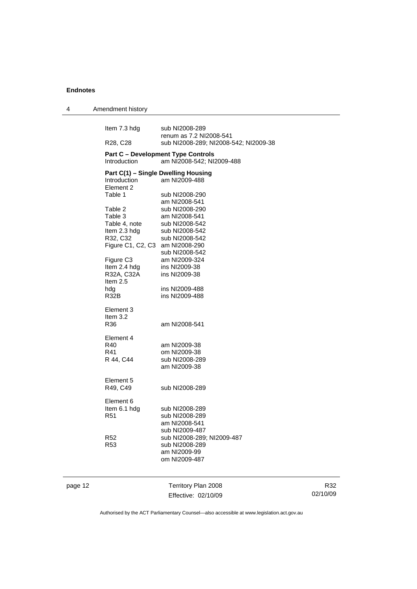| 4       | Amendment history                 |                                                                        |  |
|---------|-----------------------------------|------------------------------------------------------------------------|--|
|         | Item 7.3 hdg                      | sub NI2008-289<br>renum as 7.2 NI2008-541                              |  |
|         | R <sub>28</sub> , C <sub>28</sub> | sub NI2008-289; NI2008-542; NI2009-38                                  |  |
|         | Introduction                      | <b>Part C - Development Type Controls</b><br>am NI2008-542; NI2009-488 |  |
|         |                                   | Part C(1) - Single Dwelling Housing                                    |  |
|         | Introduction<br>Element 2         | am NI2009-488                                                          |  |
|         | Table 1                           | sub NI2008-290<br>am NI2008-541                                        |  |
|         | Table 2                           | sub NI2008-290                                                         |  |
|         | Table 3                           | am NI2008-541                                                          |  |
|         | Table 4, note                     | sub NI2008-542                                                         |  |
|         | Item 2.3 hdg                      | sub NI2008-542                                                         |  |
|         | R32, C32                          | sub NI2008-542                                                         |  |
|         | Figure C1, C2, C3                 | am NI2008-290                                                          |  |
|         | Figure C <sub>3</sub>             | sub NI2008-542                                                         |  |
|         | Item 2.4 hdg                      | am NI2009-324<br>ins NI2009-38                                         |  |
|         | R32A, C32A                        | ins NI2009-38                                                          |  |
|         | Item $2.5$                        |                                                                        |  |
|         | hdg                               | ins NI2009-488                                                         |  |
|         | R32B                              | ins NI2009-488                                                         |  |
|         | Element 3                         |                                                                        |  |
|         | Item 3.2                          |                                                                        |  |
|         | R36                               | am NI2008-541                                                          |  |
|         | Element 4                         |                                                                        |  |
|         | R40                               | am NI2009-38                                                           |  |
|         | R41                               | om NI2009-38                                                           |  |
|         | R 44, C44                         | sub NI2008-289                                                         |  |
|         |                                   | am NI2009-38                                                           |  |
|         | Element 5                         |                                                                        |  |
|         | R49, C49                          | sub NI2008-289                                                         |  |
|         | Element 6                         |                                                                        |  |
|         | Item 6.1 hdg                      | sub NI2008-289                                                         |  |
|         | R <sub>51</sub>                   | sub NI2008-289                                                         |  |
|         |                                   | am NI2008-541                                                          |  |
|         |                                   | sub NI2009-487                                                         |  |
|         | R <sub>52</sub>                   | sub NI2008-289; NI2009-487                                             |  |
|         | R <sub>53</sub>                   | sub NI2008-289<br>am NI2009-99                                         |  |
|         |                                   | om NI2009-487                                                          |  |
|         |                                   |                                                                        |  |
|         |                                   |                                                                        |  |
| page 12 |                                   | Territory Plan 2008                                                    |  |

Effective: 02/10/09

R32 02/10/09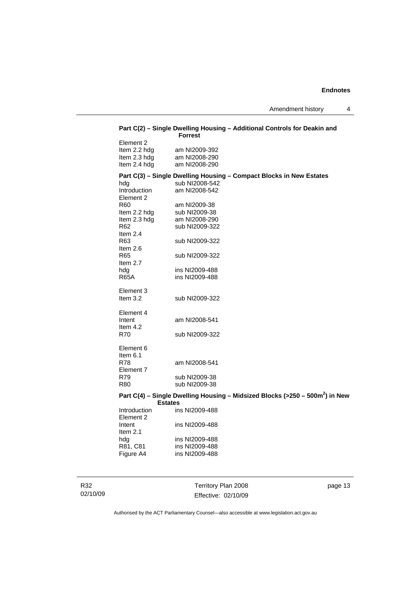| Part C(2) – Single Dwelling Housing – Additional Controls for Deakin and<br><b>Forrest</b> |                                                                                                        |  |  |
|--------------------------------------------------------------------------------------------|--------------------------------------------------------------------------------------------------------|--|--|
| Element 2<br>Item 2.2 hdg<br>Item 2.3 hdg<br>Item 2.4 hdg                                  | am NI2009-392<br>am NI2008-290<br>am NI2008-290                                                        |  |  |
| hdg<br>Introduction<br>Element 2                                                           | Part C(3) – Single Dwelling Housing – Compact Blocks in New Estates<br>sub NI2008-542<br>am NI2008-542 |  |  |
| R60<br>Item 2.2 hdg<br>Item 2.3 hdg<br>R62<br>Item 2.4                                     | am NI2009-38<br>sub NI2009-38<br>am NI2008-290<br>sub NI2009-322                                       |  |  |
| R63<br>Item $2.6$<br>R65<br>Item $2.7$                                                     | sub NI2009-322<br>sub NI2009-322                                                                       |  |  |
| hdg<br><b>R65A</b><br>Element 3<br>Item $3.2$                                              | ins NI2009-488<br>ins NI2009-488<br>sub NI2009-322                                                     |  |  |
| Element 4<br>Intent<br>Item 4.2<br>R70                                                     | am NI2008-541<br>sub NI2009-322                                                                        |  |  |
| Element 6<br>Item $6.1$                                                                    |                                                                                                        |  |  |
| <b>R78</b><br>Element 7<br>R79<br><b>R80</b>                                               | am NI2008-541<br>sub NI2009-38<br>sub NI2009-38                                                        |  |  |
| <b>Estates</b>                                                                             | Part C(4) – Single Dwelling Housing – Midsized Blocks (>250 – 500m <sup>2</sup> ) in New               |  |  |
| Introduction                                                                               | ins NI2009-488                                                                                         |  |  |

| Introduction | ins NI2009-488 |
|--------------|----------------|
| Element 2    |                |
| Intent       | ins NI2009-488 |
| Item $2.1$   |                |
| hdg          | ins NI2009-488 |
| R81, C81     | ins NI2009-488 |
| Figure A4    | ins NI2009-488 |

R32 02/10/09

Territory Plan 2008 Effective: 02/10/09 page 13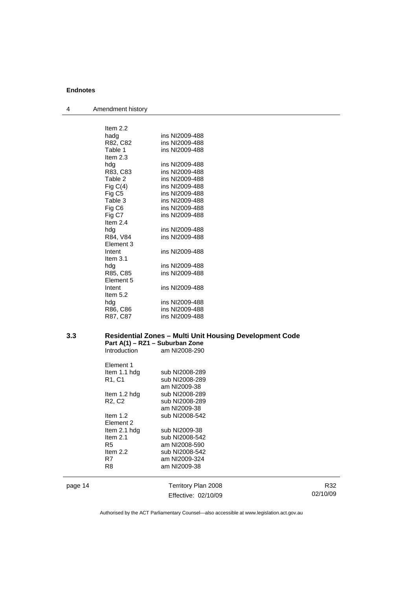4 Amendment history

| Item $2.2$       |                |
|------------------|----------------|
| hadg             | ins NI2009-488 |
| R82, C82         | ins NI2009-488 |
| Table 1          | ins NI2009-488 |
| Item $2.3$       |                |
| hdg              | ins NI2009-488 |
| R83, C83         | ins NI2009-488 |
| Table 2          | ins NI2009-488 |
| Fig $C(4)$       | ins NI2009-488 |
| Fig C5           | ins NI2009-488 |
| Table 3          | ins NI2009-488 |
| Fig C6           | ins NI2009-488 |
| Fig C7           | ins NI2009-488 |
| Item $2.4$       |                |
| hda              | ins NI2009-488 |
| R84, V84         | ins NI2009-488 |
| <b>Element 3</b> |                |
| Intent           | ins NI2009-488 |
| Item $3.1$       |                |
| hda              | ins NI2009-488 |
| R85, C85         | ins NI2009-488 |
| Element 5        |                |
| Intent           | ins NI2009-488 |
| Item $5.2$       |                |
| hda              | ins NI2009-488 |
| R86, C86         | ins NI2009-488 |
| R87, C87         | ins NI2009-488 |
|                  |                |

#### **3.3 Residential Zones – Multi Unit Housing Development Code Part A(1) – RZ1 – Suburban Zone**  Introduction am NI2008-290

| <b>Element 1</b><br>Item 1.1 hdg | sub NI2008-289 |
|----------------------------------|----------------|
| R1, C1                           | sub NI2008-289 |
|                                  | am NI2009-38   |
| Item 1.2 hdg                     | sub NI2008-289 |
| R <sub>2</sub> , C <sub>2</sub>  | sub NI2008-289 |
|                                  | am NI2009-38   |
| Item $1.2$                       | sub NI2008-542 |
| Element 2                        |                |
| Item 2.1 hdg                     | sub NI2009-38  |
| Item $2.1$                       | sub NI2008-542 |
| R5                               | am NI2008-590  |
| Item $2.2$                       | sub NI2008-542 |
| R7                               | am NI2009-324  |
| R8                               | am NI2009-38   |
|                                  |                |

page 14 Territory Plan 2008 Effective: 02/10/09

R32 02/10/09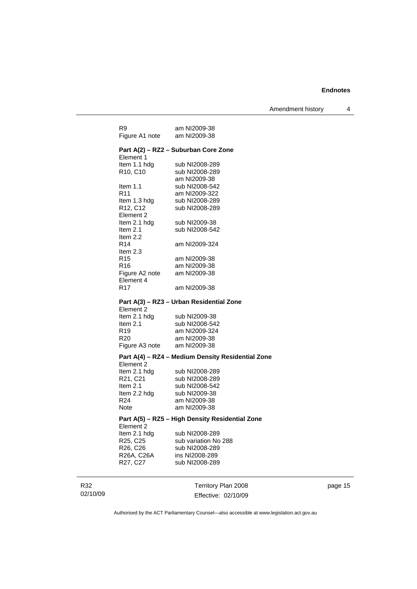| R9                                | am NI2009-38                                      |
|-----------------------------------|---------------------------------------------------|
| Figure A1 note am NI2009-38       |                                                   |
|                                   | Part A(2) - RZ2 - Suburban Core Zone              |
| Element 1                         |                                                   |
| Item 1.1 hdg                      | sub NI2008-289                                    |
| R <sub>10</sub> , C <sub>10</sub> | sub NI2008-289                                    |
|                                   | am NI2009-38                                      |
| Item $1.1$                        | sub NI2008-542                                    |
| R <sub>11</sub>                   | am NI2009-322<br>sub NI2008-289                   |
| Item 1.3 hdg<br>R12, C12          | sub NI2008-289                                    |
| Element 2                         |                                                   |
| Item 2.1 hdg                      | sub NI2009-38                                     |
| ltem 2.1                          | sub NI2008-542                                    |
| Item 2.2                          |                                                   |
| R14                               | am NI2009-324                                     |
| Item 2.3                          |                                                   |
| R <sub>15</sub>                   | am NI2009-38                                      |
| R16                               | am NI2009-38                                      |
| Figure A2 note<br>Element 4       | am NI2009-38                                      |
| R17                               | am NI2009-38                                      |
|                                   |                                                   |
|                                   | Part A(3) - RZ3 - Urban Residential Zone          |
| Element 2                         |                                                   |
| Item 2.1 hdg                      | sub NI2009-38                                     |
| Item 2.1                          | sub NI2008-542                                    |
| R19                               | am NI2009-324                                     |
| R <sub>20</sub><br>Figure A3 note | am NI2009-38<br>am NI2009-38                      |
|                                   |                                                   |
|                                   | Part A(4) - RZ4 - Medium Density Residential Zone |
| Element 2                         |                                                   |
| Item 2.1 hdg<br>R21, C21          | sub NI2008-289                                    |
| Item 2.1                          | sub NI2008-289<br>sub NI2008-542                  |
| Item 2.2 hdg                      | sub NI2009-38                                     |
| R24                               | am NI2009-38                                      |
| Note                              | am NI2009-38                                      |
|                                   | Part A(5) - RZ5 - High Density Residential Zone   |
| Element 2                         |                                                   |
| Item 2.1 hdg                      | sub NI2008-289                                    |
| R <sub>25</sub> , C <sub>25</sub> | sub variation No 288                              |
| R26, C26                          | sub NI2008-289                                    |
| R26A, C26A                        | ins NI2008-289                                    |
| R27, C27                          | sub NI2008-289                                    |
|                                   |                                                   |
|                                   | Territory Plan 2008                               |
|                                   | Effective: 02/10/09                               |

page 15

Authorised by the ACT Parliamentary Counsel—also accessible at www.legislation.act.gov.au

R32 02/10/09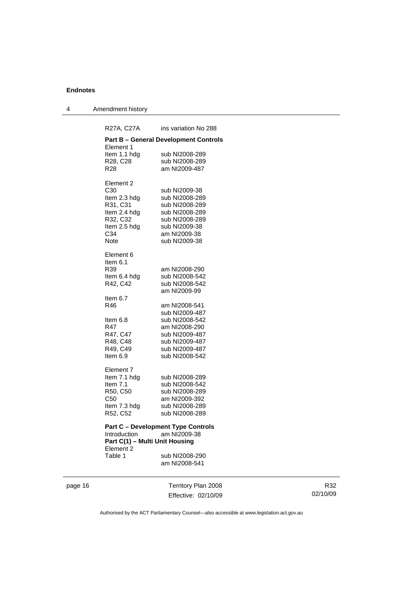4 Amendment history

R27A, C27A ins variation No 288 **Part B – General Development Controls**  Element 1 Item 1.1 hdg sub NI2008-289 R28, C28 sub NI2008-289 R28 am NI2009-487 Element 2 C30 sub NI2009-38 Item 2.3 hdg sub NI2008-289<br>R31, C31 sub NI2008-289 R31, C31 sub NI2008-289<br>Item 2.4 hdg sub NI2008-289 sub NI2008-289 R32, C32 sub NI2008-289<br>Item 2.5 hdg sub NI2009-38 Item 2.5 hdg sub NI2009-38<br>C34 am NI2009-38 am NI2009-38 Note sub NI2009-38 Element 6 Item 6.1<br>R39 am NI2008-290 Item 6.4 hdg sub NI2008-542<br>R42, C42 sub NI2008-542 sub NI2008-542 am NI2009-99 Item 6.7 R46 am NI2008-541 sub NI2009-487 Item 6.8 sub NI2008-542 R47 am NI2008-290<br>R47, C47 sub NI2009-487 R47, C47 sub NI2009-487<br>R48, C48 sub NI2009-487 sub NI2009-487 R49, C49 sub NI2009-487<br>Item 6.9 sub NI2008-542 sub NI2008-542 Element 7 Item 7.1 hdg sub NI2008-289 Item 7.1 sub NI2008-542<br>R50, C50 sub NI2008-289 sub NI2008-289 C50 am NI2009-392 Item 7.3 hdg sub NI2008-289 R52, C52 sub NI2008-289 **Part C – Development Type Controls<br>Introduction am NI2009-38** am NI2009-38 **Part C(1) – Multi Unit Housing**  Element 2 Table 1 sub NI2008-290

am NI2008-541

page 16 Territory Plan 2008 Effective: 02/10/09

R32 02/10/09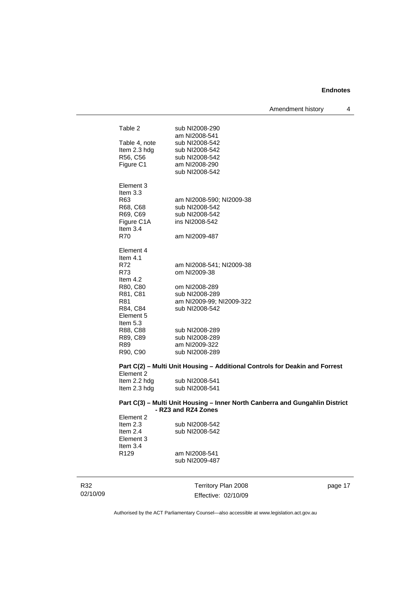Amendment history 4

| Table 2       | sub NI2008-290                                                               |
|---------------|------------------------------------------------------------------------------|
|               | am NI2008-541                                                                |
| Table 4, note | sub NI2008-542                                                               |
| Item 2.3 hdg  | sub NI2008-542                                                               |
| R56, C56      | sub NI2008-542                                                               |
| Figure C1     | am NI2008-290                                                                |
|               | sub NI2008-542                                                               |
| Element 3     |                                                                              |
| Item $3.3$    |                                                                              |
| R63           | am NI2008-590; NI2009-38                                                     |
| R68, C68      | sub NI2008-542                                                               |
| R69, C69      | sub NI2008-542                                                               |
| Figure C1A    | ins NI2008-542                                                               |
| Item $3.4$    |                                                                              |
| R70           | am NI2009-487                                                                |
| Element 4     |                                                                              |
| Item $4.1$    |                                                                              |
| R72           | am NI2008-541; NI2009-38                                                     |
| R73           | om NI2009-38                                                                 |
| Item $4.2$    |                                                                              |
| R80, C80      | om NI2008-289                                                                |
| R81, C81      | sub NI2008-289                                                               |
| R81           | am NI2009-99; NI2009-322                                                     |
| R84, C84      | sub NI2008-542                                                               |
| Element 5     |                                                                              |
| Item 5.3      |                                                                              |
| R88, C88      | sub NI2008-289                                                               |
| R89, C89      | sub NI2008-289                                                               |
| R89           | am NI2009-322<br>sub NI2008-289                                              |
| R90, C90      |                                                                              |
|               | Part C(2) - Multi Unit Housing - Additional Controls for Deakin and Forrest  |
| Element 2     |                                                                              |
| Item 2.2 hdg  | sub NI2008-541                                                               |
| Item 2.3 hdg  | sub NI2008-541                                                               |
|               | Part C(3) - Multi Unit Housing - Inner North Canberra and Gungahlin District |
|               | - RZ3 and RZ4 Zones                                                          |
| Element 2     |                                                                              |

Item 2.3 sub NI2008-542<br>Item 2.4 sub NI2008-542 sub NI2008-542 Element 3 Item 3.4<br>R129 am NI2008-541 sub NI2009-487

R32 02/10/09

Territory Plan 2008 Effective: 02/10/09 page 17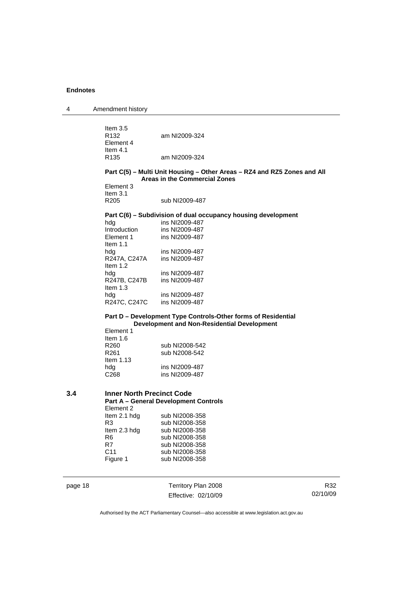| 4       | Amendment history                                                                                            |                                                                          |          |
|---------|--------------------------------------------------------------------------------------------------------------|--------------------------------------------------------------------------|----------|
|         | Item $3.5$<br>R <sub>132</sub><br>Element 4                                                                  | am NI2009-324                                                            |          |
|         | Item $4.1$<br>R <sub>135</sub>                                                                               | am NI2009-324                                                            |          |
|         |                                                                                                              | Part C(5) - Multi Unit Housing - Other Areas - RZ4 and RZ5 Zones and All |          |
|         |                                                                                                              | <b>Areas in the Commercial Zones</b>                                     |          |
|         | Element 3                                                                                                    |                                                                          |          |
|         | Item $3.1$                                                                                                   |                                                                          |          |
|         | R <sub>205</sub>                                                                                             | sub NI2009-487                                                           |          |
|         |                                                                                                              | Part C(6) – Subdivision of dual occupancy housing development            |          |
|         | hdg                                                                                                          | ins NI2009-487                                                           |          |
|         | Introduction                                                                                                 | ins NI2009-487                                                           |          |
|         | Element 1<br>Item $1.1$                                                                                      | ins NI2009-487                                                           |          |
|         | hdg                                                                                                          | ins NI2009-487                                                           |          |
|         | R247A, C247A                                                                                                 | ins NI2009-487                                                           |          |
|         | Item $1.2$                                                                                                   |                                                                          |          |
|         | hdg                                                                                                          | ins NI2009-487                                                           |          |
|         | R247B, C247B<br>Item $1.3$                                                                                   | ins NI2009-487                                                           |          |
|         | hdg                                                                                                          | ins NI2009-487                                                           |          |
|         | R247C, C247C                                                                                                 | ins NI2009-487                                                           |          |
|         | Part D - Development Type Controls-Other forms of Residential<br>Development and Non-Residential Development |                                                                          |          |
|         | Element 1<br>Item $1.6$                                                                                      |                                                                          |          |
|         | R <sub>260</sub>                                                                                             | sub NI2008-542                                                           |          |
|         | R <sub>261</sub><br>Item $1.13$                                                                              | sub N2008-542                                                            |          |
|         | hdg                                                                                                          | ins NI2009-487                                                           |          |
|         | C <sub>268</sub>                                                                                             | ins NI2009-487                                                           |          |
|         |                                                                                                              |                                                                          |          |
| 3.4     | <b>Inner North Precinct Code</b>                                                                             |                                                                          |          |
|         |                                                                                                              | <b>Part A - General Development Controls</b>                             |          |
|         | Element 2                                                                                                    |                                                                          |          |
|         | Item 2.1 hdg<br>R <sub>3</sub>                                                                               | sub NI2008-358<br>sub NI2008-358                                         |          |
|         | Item 2.3 hdg                                                                                                 | sub NI2008-358                                                           |          |
|         | R <sub>6</sub>                                                                                               | sub NI2008-358                                                           |          |
|         | R7                                                                                                           | sub NI2008-358                                                           |          |
|         | C <sub>11</sub>                                                                                              | sub NI2008-358                                                           |          |
|         | Figure 1                                                                                                     | sub NI2008-358                                                           |          |
| page 18 |                                                                                                              | Territory Plan 2008                                                      | R32      |
|         |                                                                                                              | Effective: 02/10/09                                                      | 02/10/09 |
|         |                                                                                                              |                                                                          |          |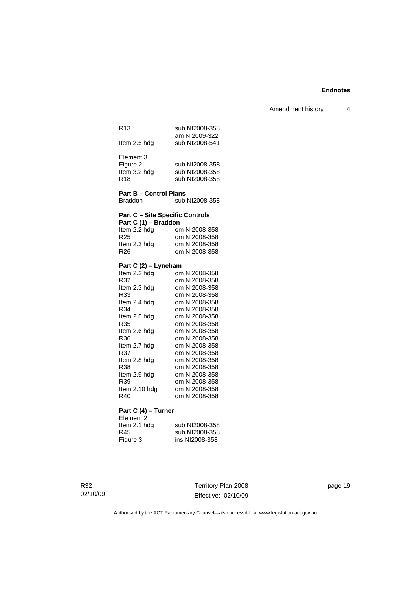Amendment history 4

| R <sub>13</sub>                        | sub NI2008-358<br>am NI2009-322 |
|----------------------------------------|---------------------------------|
| Item 2.5 hdg                           | sub NI2008-541                  |
| Element 3                              |                                 |
| Figure 2                               | sub NI2008-358                  |
| Item 3.2 hdg                           | sub NI2008-358                  |
| R <sub>18</sub>                        | sub NI2008-358                  |
| <b>Part B - Control Plans</b>          |                                 |
| <b>Braddon</b>                         | sub NI2008-358                  |
| <b>Part C - Site Specific Controls</b> |                                 |
| Part C (1) - Braddon                   |                                 |
| Item 2.2 hdg                           | om NI2008-358                   |
| R <sub>25</sub>                        | om NI2008-358                   |
| ltem 2.3 hdg                           | om NI2008-358                   |
| R <sub>26</sub>                        | om NI2008-358                   |
|                                        |                                 |
| Part C (2) - Lyneham                   |                                 |
| Item 2.2 hdg                           | om NI2008-358                   |
| R32                                    | om NI2008-358                   |
| Item 2.3 hdg                           | om NI2008-358                   |
| R33                                    | om NI2008-358                   |
| Item 2.4 hdg                           | om NI2008-358                   |
| R34                                    | om NI2008-358                   |
| Item 2.5 hdg                           | om NI2008-358                   |
| R35                                    | om NI2008-358                   |
| Item 2.6 hdg                           | om NI2008-358                   |
| R36                                    | om NI2008-358                   |
| Item 2.7 hdg                           | om NI2008-358                   |
| R37                                    | om NI2008-358                   |
| Item 2.8 hdg                           | om NI2008-358                   |
| R38                                    | om NI2008-358                   |
| Item 2.9 hdg                           | om NI2008-358                   |
| R39                                    | om NI2008-358                   |
| Item 2.10 hdg<br>R40                   | om NI2008-358<br>om NI2008-358  |

#### **Part C (4) – Turner**

Element 2 Item 2.1 hdg sub NI2008-358<br>
R45 sub NI2008-358<br>
Figure 3 ins NI2008-358 R45 sub NI2008-358 Figure 3 ins NI2008-358

Territory Plan 2008 Effective: 02/10/09 page 19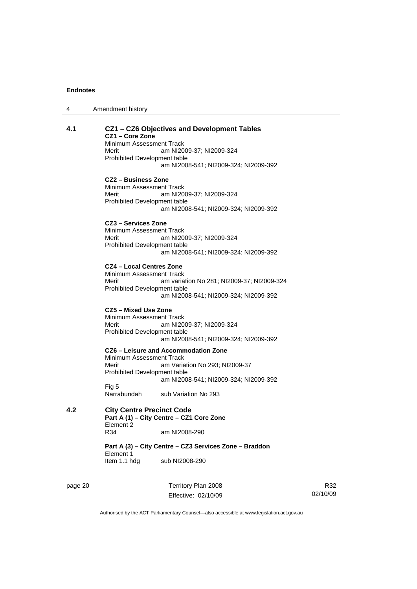| 4 | Amendment history |
|---|-------------------|
|---|-------------------|

#### **4.1 CZ1 – CZ6 Objectives and Development Tables CZ1 – Core Zone**

Minimum Assessment Track

Merit am NI2009-37; NI2009-324 Prohibited Development table am NI2008-541; NI2009-324; NI2009-392

#### **CZ2 – Business Zone**

Minimum Assessment Track<br>Merit am NI20 am NI2009-37; NI2009-324 Prohibited Development table am NI2008-541; NI2009-324; NI2009-392

#### **CZ3 – Services Zone**

Minimum Assessment Track Merit am NI2009-37; NI2009-324 Prohibited Development table am NI2008-541; NI2009-324; NI2009-392

#### **CZ4 – Local Centres Zone**

Minimum Assessment Track Merit am variation No 281; NI2009-37; NI2009-324 Prohibited Development table am NI2008-541; NI2009-324; NI2009-392

#### **CZ5 – Mixed Use Zone**

Minimum Assessment Track<br>Merit am NI20 am NI2009-37; NI2009-324 Prohibited Development table am NI2008-541; NI2009-324; NI2009-392

**CZ6 – Leisure and Accommodation Zone** Minimum Assessment Track Merit **Am Variation No 293**; NI2009-37 Prohibited Development table am NI2008-541; NI2009-324; NI2009-392 Fig 5<br>Narrabundah

sub Variation No 293

**4.2 City Centre Precinct Code Part A (1) – City Centre – CZ1 Core Zone**  Element 2<br>R34 am NI2008-290

> **Part A (3) – City Centre – CZ3 Services Zone – Braddon**  Element 1 Item 1.1 hdg sub NI2008-290

page 20 Territory Plan 2008 Effective: 02/10/09

R32 02/10/09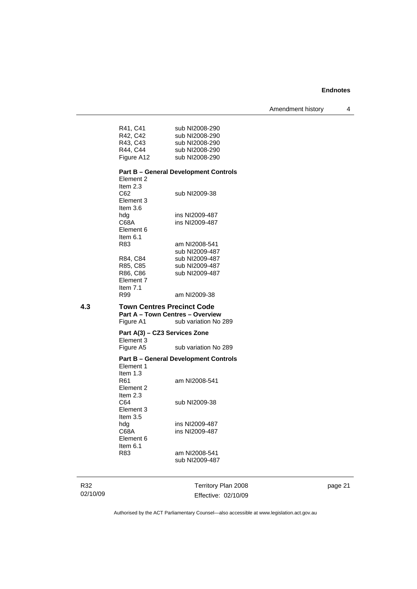Amendment history 4

| sub NI2008-290                               |
|----------------------------------------------|
| sub NI2008-290                               |
| sub NI2008-290                               |
| sub NI2008-290                               |
| sub NI2008-290                               |
|                                              |
| <b>Part B – General Development Controls</b> |
|                                              |
|                                              |
|                                              |

| неш и з   |                |
|-----------|----------------|
| C62       | sub NI2009-38  |
| Element 3 |                |
| Item 3.6  |                |
| hda       | ins NI2009-487 |
| C68A      | ins NI2009-487 |
| Element 6 |                |
| Item 6.1  |                |
| R83       | am NI2008-541  |
|           | sub NI2009-487 |
| R84, C84  | sub NI2009-487 |
| R85. C85  | sub NI2009-487 |
| R86, C86  | sub NI2009-487 |
| Element 7 |                |
| ltem 7.1  |                |
| R99       | am NI2009-38   |
|           |                |

**4.3 Town Centres Precinct Code Part A – Town Centres – Overview**  Figure A1 sub variation No 289

#### **Part A(3) – CZ3 Services Zone**  Element 3<br>Figure A5 sub variation No 289

#### **Part B – General Development Controls**

Element 1 Item 1.3<br>R61 am NI2008-541 Element 2 Item 2.3<br>C64 sub NI2009-38 Element 3 Item 3.5<br>hdg<br>C68A ins NI2009-487 ins NI2009-487 Element 6 Item 6.1 R83 am NI2008-541 sub NI2009-487

R32 02/10/09

Territory Plan 2008 Effective: 02/10/09 page 21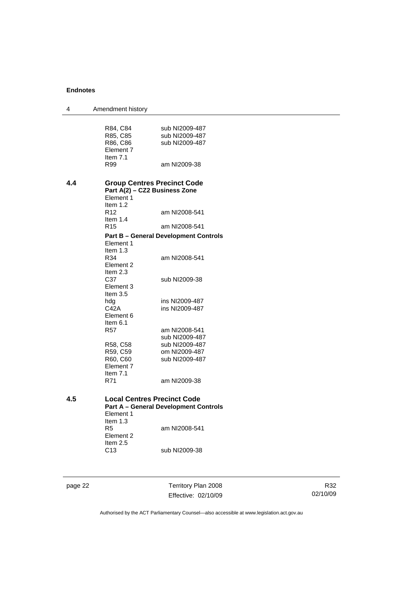| 4   | Amendment history                  |                                              |
|-----|------------------------------------|----------------------------------------------|
|     |                                    |                                              |
|     | R84, C84                           | sub NI2009-487                               |
|     | R85, C85                           | sub NI2009-487                               |
|     | R86, C86                           | sub NI2009-487                               |
|     | Element 7                          |                                              |
|     | Item $7.1$                         |                                              |
|     | R99                                | am NI2009-38                                 |
| 4.4 | <b>Group Centres Precinct Code</b> |                                              |
|     | Part A(2) - CZ2 Business Zone      |                                              |
|     | Element 1                          |                                              |
|     | Item $1.2$                         |                                              |
|     | R <sub>12</sub>                    | am NI2008-541                                |
|     | Item $1.4$                         |                                              |
|     | R <sub>15</sub>                    | am NI2008-541                                |
|     |                                    | <b>Part B – General Development Controls</b> |
|     | Element 1                          |                                              |
|     | Item $1.3$                         |                                              |
|     | R34                                | am NI2008-541                                |
|     | Element 2                          |                                              |
|     | Item $2.3$                         |                                              |
|     | C37                                | sub NI2009-38                                |
|     | Element 3<br>Item $3.5$            |                                              |
|     | hdg                                | ins NI2009-487                               |
|     | C42A                               | ins NI2009-487                               |
|     | Element 6                          |                                              |
|     | Item $6.1$                         |                                              |
|     | <b>R57</b>                         | am NI2008-541                                |
|     |                                    | sub NI2009-487                               |
|     | R58, C58                           | sub NI2009-487                               |
|     | R59, C59                           | om NI2009-487                                |
|     | R60, C60                           | sub NI2009-487                               |
|     | Element 7                          |                                              |
|     | Item $7.1$                         |                                              |
|     | R71                                | am NI2009-38                                 |
| 4.5 | <b>Local Centres Precinct Code</b> |                                              |
|     |                                    | <b>Part A - General Development Controls</b> |
|     | Element 1                          |                                              |
|     | Item $1.3$                         |                                              |
|     | R <sub>5</sub>                     | am NI2008-541                                |
|     | Element 2                          |                                              |
|     | Item 2.5                           |                                              |
|     | C <sub>13</sub>                    | sub NI2009-38                                |
|     |                                    |                                              |
|     |                                    |                                              |

page 22 Territory Plan 2008 Effective: 02/10/09

R32 02/10/09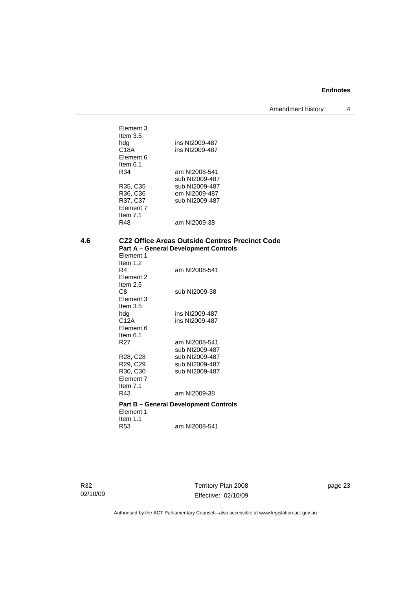Amendment history 4

| Element 3<br>Item $3.5$ |                |
|-------------------------|----------------|
| hda                     | ins NI2009-487 |
| C18A                    | ins NI2009-487 |
| Element 6               |                |
| ltem 6.1                |                |
| R34                     | am NI2008-541  |
|                         | sub NI2009-487 |
| R35, C35                | sub NI2009-487 |
| R36, C36                | om NI2009-487  |
| R37, C37                | sub NI2009-487 |
| Element 7               |                |
| Item $7.1$              |                |
| R48                     | am NI2009-38   |
|                         |                |

## **4.6 CZ2 Office Areas Outside Centres Precinct Code Part A – General Development Controls**

| Element 1                            |                                              |
|--------------------------------------|----------------------------------------------|
| Item $1.2$<br>R4<br><b>Element 2</b> | am NI2008-541                                |
| Item $2.5$<br>C8                     | sub NI2009-38                                |
| Element 3<br>Item $3.5$              |                                              |
| hda                                  | ins NI2009-487                               |
| C12A                                 | ins NI2009-487                               |
| Element 6                            |                                              |
| Item $6.1$                           |                                              |
| R <sub>27</sub>                      | am NI2008-541                                |
|                                      | sub NI2009-487                               |
| R <sub>28</sub> , C <sub>28</sub>    | sub NI2009-487                               |
| R29, C29                             | sub NI2009-487                               |
| R30, C30                             | sub NI2009-487                               |
| Element 7                            |                                              |
| Item $7.1$                           |                                              |
| R43                                  | am NI2009-38                                 |
| Element 1                            | <b>Part B - General Development Controls</b> |
| Item $1.1$                           |                                              |
| R53                                  | am NI2008-541                                |

Territory Plan 2008 Effective: 02/10/09 page 23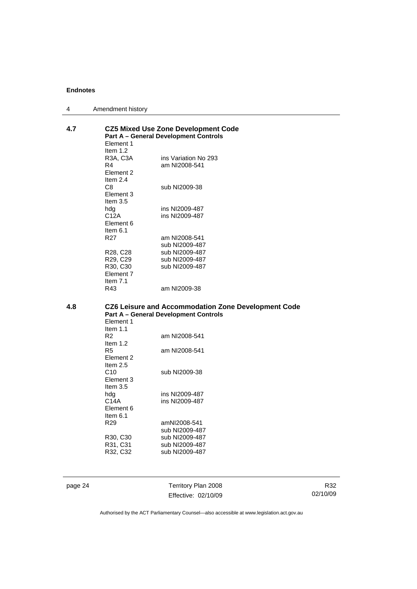| 4   | Amendment history                                                                          |                                                     |  |
|-----|--------------------------------------------------------------------------------------------|-----------------------------------------------------|--|
| 4.7 | <b>CZ5 Mixed Use Zone Development Code</b><br><b>Part A - General Development Controls</b> |                                                     |  |
|     | Element 1                                                                                  |                                                     |  |
|     | Item $1.2$                                                                                 |                                                     |  |
|     | R3A, C3A                                                                                   | ins Variation No 293                                |  |
|     | R4                                                                                         | am NI2008-541                                       |  |
|     | Element 2                                                                                  |                                                     |  |
|     | Item 2.4<br>C8                                                                             |                                                     |  |
|     | Element 3                                                                                  | sub NI2009-38                                       |  |
|     | Item $3.5$                                                                                 |                                                     |  |
|     | hdg                                                                                        | ins NI2009-487                                      |  |
|     | C12A                                                                                       | ins NI2009-487                                      |  |
|     | Element 6                                                                                  |                                                     |  |
|     | Item $6.1$                                                                                 |                                                     |  |
|     | R <sub>27</sub>                                                                            | am NI2008-541                                       |  |
|     |                                                                                            | sub NI2009-487                                      |  |
|     | R28, C28                                                                                   | sub NI2009-487                                      |  |
|     | R29, C29                                                                                   | sub NI2009-487                                      |  |
|     | R30, C30                                                                                   | sub NI2009-487                                      |  |
|     | Element 7                                                                                  |                                                     |  |
|     | Item $7.1$                                                                                 |                                                     |  |
|     | R43                                                                                        | am NI2009-38                                        |  |
| 4.8 |                                                                                            | CZ6 Leisure and Accommodation Zone Development Code |  |
|     |                                                                                            | <b>Part A - General Development Controls</b>        |  |
|     | Element 1                                                                                  |                                                     |  |
|     | Item $1.1$                                                                                 |                                                     |  |
|     | R <sub>2</sub>                                                                             | am NI2008-541                                       |  |
|     | Item $1.2$                                                                                 |                                                     |  |
|     | R5                                                                                         | am NI2008-541                                       |  |
|     | Element 2<br>Item $2.5$                                                                    |                                                     |  |
|     | C10                                                                                        |                                                     |  |
|     | Element 3                                                                                  | sub NI2009-38                                       |  |
|     | Item $3.5$                                                                                 |                                                     |  |
|     | hdg                                                                                        | ins NI2009-487                                      |  |
|     | C14A                                                                                       | ins NI2009-487                                      |  |

Element 6 Item 6.1<br>R29 amNI2008-541 sub NI2009-487<br>R30, C30 sub NI2009-487 R30, C30 sub NI2009-487<br>R31, C31 sub NI2009-487<br>R32, C32 sub NI2009-487 sub NI2009-487 sub NI2009-487

page 24 Territory Plan 2008 Effective: 02/10/09

R32 02/10/09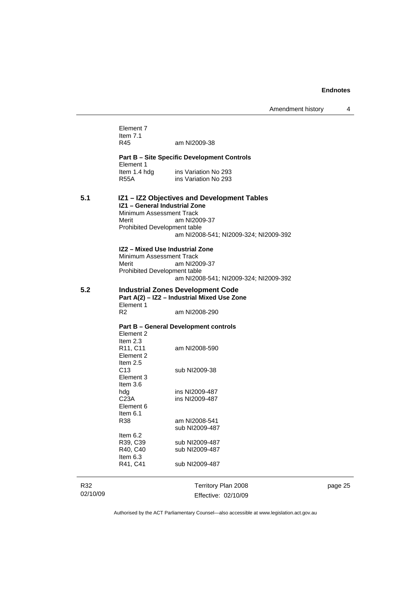Amendment history 4

|          | Element 7<br>Item $7.1$<br>R45<br>Element 1<br>Item 1.4 hdg<br>R55A                                  | am NI2009-38<br><b>Part B - Site Specific Development Controls</b><br>ins Variation No 293<br>ins Variation No 293 |
|----------|------------------------------------------------------------------------------------------------------|--------------------------------------------------------------------------------------------------------------------|
| 5.1      | IZ1 - General Industrial Zone<br>Minimum Assessment Track<br>Merit<br>Prohibited Development table   | IZ1 - IZ2 Objectives and Development Tables<br>am NI2009-37<br>am NI2008-541; NI2009-324; NI2009-392               |
|          | IZ2 - Mixed Use Industrial Zone<br>Minimum Assessment Track<br>Merit<br>Prohibited Development table | am NI2009-37<br>am NI2008-541; NI2009-324; NI2009-392                                                              |
| 5.2      | Element 1                                                                                            | <b>Industrial Zones Development Code</b><br>Part A(2) - IZ2 - Industrial Mixed Use Zone                            |
|          | R2                                                                                                   | am NI2008-290                                                                                                      |
|          |                                                                                                      | <b>Part B - General Development controls</b>                                                                       |
|          | Element 2                                                                                            |                                                                                                                    |
|          | Item $2.3$<br>R <sub>11</sub> , C <sub>11</sub><br>Element 2<br>Item $2.5$                           | am NI2008-590                                                                                                      |
|          | C <sub>13</sub><br>Element 3<br>Item $3.6$                                                           | sub NI2009-38                                                                                                      |
|          | hdg                                                                                                  | ins NI2009-487                                                                                                     |
|          | C <sub>23A</sub>                                                                                     | ins NI2009-487                                                                                                     |
|          | Element 6<br>Item $6.1$                                                                              |                                                                                                                    |
|          | R38                                                                                                  | am NI2008-541                                                                                                      |
|          |                                                                                                      | sub NI2009-487                                                                                                     |
|          | Item 6.2<br>R39, C39                                                                                 | sub NI2009-487                                                                                                     |
|          | R40, C40                                                                                             | sub NI2009-487                                                                                                     |
|          | Item $6.3$<br>R41, C41                                                                               | sub NI2009-487                                                                                                     |
| R32      |                                                                                                      | Territory Plan 2008                                                                                                |
| 02/10/09 |                                                                                                      | Effective: 02/10/09                                                                                                |

page 25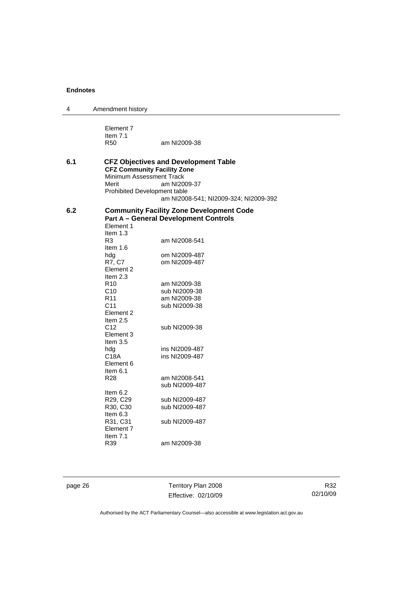| 4   | Amendment history                                                                                                                                                                                                                                                                                                                                                                           |                                                                                                                                                                                                                                                                                                                                                                                    |
|-----|---------------------------------------------------------------------------------------------------------------------------------------------------------------------------------------------------------------------------------------------------------------------------------------------------------------------------------------------------------------------------------------------|------------------------------------------------------------------------------------------------------------------------------------------------------------------------------------------------------------------------------------------------------------------------------------------------------------------------------------------------------------------------------------|
|     | Element 7<br>Item $7.1$<br><b>R50</b>                                                                                                                                                                                                                                                                                                                                                       | am NI2009-38                                                                                                                                                                                                                                                                                                                                                                       |
| 6.1 | <b>CFZ Community Facility Zone</b><br>Minimum Assessment Track<br>Merit<br>Prohibited Development table                                                                                                                                                                                                                                                                                     | <b>CFZ Objectives and Development Table</b><br>am NI2009-37<br>am NI2008-541; NI2009-324; NI2009-392                                                                                                                                                                                                                                                                               |
| 6.2 | Element 1<br>Item $1.3$<br>R <sub>3</sub><br>Item $1.6$<br>hdg<br>R7, C7<br>Element 2<br>Item 2.3<br>R <sub>10</sub><br>C10<br>R <sub>11</sub><br>C <sub>11</sub><br>Element 2<br>Item $2.5$<br>C <sub>12</sub><br>Element 3<br>Item $3.5$<br>hdg<br>C18A<br>Element 6<br>Item $6.1$<br>R28<br>Item $6.2$<br>R29, C29<br>R30, C30<br>Item 6.3<br>R31, C31<br>Element 7<br>Item $7.1$<br>R39 | <b>Community Facility Zone Development Code</b><br><b>Part A - General Development Controls</b><br>am NI2008-541<br>om NI2009-487<br>om NI2009-487<br>am NI2009-38<br>sub NI2009-38<br>am NI2009-38<br>sub NI2009-38<br>sub NI2009-38<br>ins NI2009-487<br>ins NI2009-487<br>am NI2008-541<br>sub NI2009-487<br>sub NI2009-487<br>sub NI2009-487<br>sub NI2009-487<br>am NI2009-38 |

page 26 Territory Plan 2008 Effective: 02/10/09

R32 02/10/09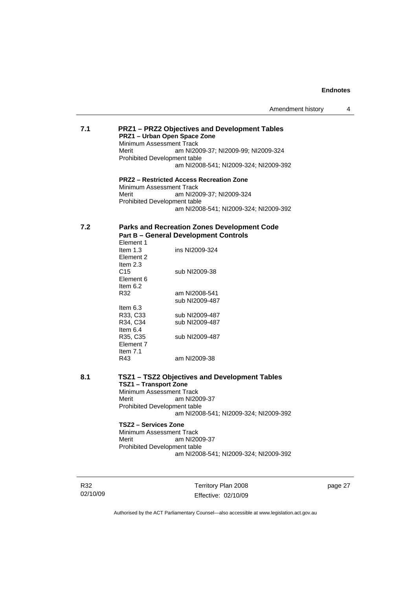# **7.1 PRZ1 – PRZ2 Objectives and Development Tables PRZ1 – Urban Open Space Zone**  Minimum Assessment Track Merit am NI2009-37; NI2009-99; NI2009-324 Prohibited Development table am NI2008-541; NI2009-324; NI2009-392

**PRZ2 – Restricted Access Recreation Zone**  Minimum Assessment Track<br>Merit am NI200 am NI2009-37; NI2009-324 Prohibited Development table am NI2008-541; NI2009-324; NI2009-392

#### **7.2 Parks and Recreation Zones Development Code Part B – General Development Controls**  Element 1

| ________   |                |
|------------|----------------|
| Item $1.3$ | ins NI2009-324 |
| Element 2  |                |
| Item $2.3$ |                |
| C15        | sub NI2009-38  |
| Element 6  |                |
| Item 6.2   |                |
| R32        | am NI2008-541  |
|            | sub NI2009-487 |
| ltem 6.3   |                |
| R33. C33   | sub NI2009-487 |
| R34. C34   | sub NI2009-487 |
| Item $6.4$ |                |
| R35, C35   | sub NI2009-487 |
| Element 7  |                |
| Item 7.1   |                |
| R43        | am NI2009-38   |
|            |                |

# **8.1 TSZ1 – TSZ2 Objectives and Development Tables TSZ1 – Transport Zone**

Minimum Assessment Track Merit am NI2009-37 Prohibited Development table am NI2008-541; NI2009-324; NI2009-392

# **TSZ2 – Services Zone**

Minimum Assessment Track Merit am NI2009-37 Prohibited Development table am NI2008-541; NI2009-324; NI2009-392

R32 02/10/09 Territory Plan 2008 Effective: 02/10/09 page 27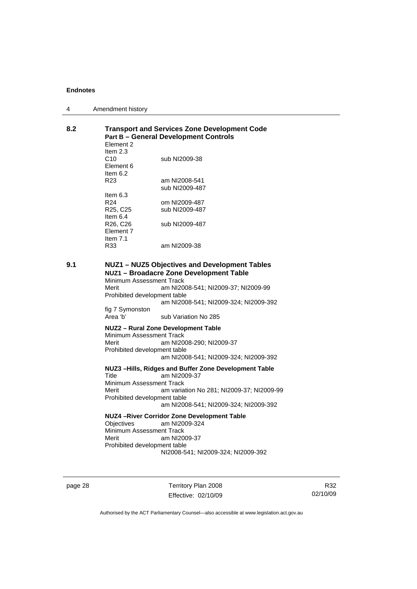| 4 | Amendment history |
|---|-------------------|
|---|-------------------|

# **8.2 Transport and Services Zone Development Code Part B – General Development Controls**

| am NI2008-541  |
|----------------|
| sub NI2009-487 |
|                |
| om NI2009-487  |
| sub NI2009-487 |
|                |
| sub NI2009-487 |
|                |
|                |
|                |
| sub NI2009-38  |

#### **9.1 NUZ1 – NUZ5 Objectives and Development Tables NUZ1 – Broadacre Zone Development Table**

Minimum Assessment Track<br>Merit am NI20 am NI2008-541; NI2009-37; NI2009-99 Prohibited development table am NI2008-541; NI2009-324; NI2009-392 fig 7 Symonston

sub Variation No 285

#### **NUZ2 – Rural Zone Development Table**

Minimum Assessment Track Merit am NI2008-290; NI2009-37 Prohibited development table am NI2008-541; NI2009-324; NI2009-392

#### **NUZ3 –Hills, Ridges and Buffer Zone Development Table**

Title am NI2009-37 Minimum Assessment Track Merit am variation No 281; NI2009-37; NI2009-99 Prohibited development table am NI2008-541; NI2009-324; NI2009-392

#### **NUZ4 –River Corridor Zone Development Table**

Objectives am NI2009-324 Minimum Assessment Track Merit am NI2009-37 Prohibited development table NI2008-541; NI2009-324; NI2009-392

page 28 Territory Plan 2008 Effective: 02/10/09

R32 02/10/09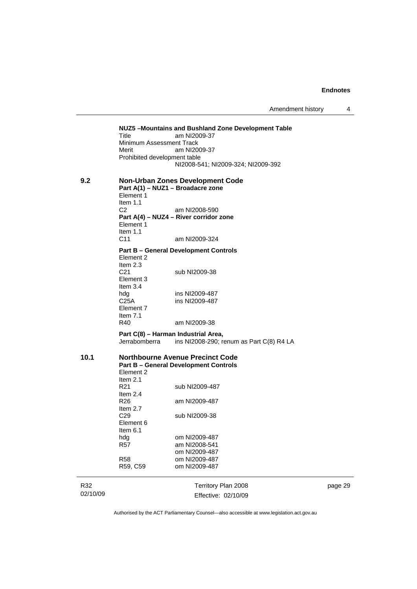J.

Amendment history 4

|          | Title<br>Minimum Assessment Track<br>Merit<br>Prohibited development table | NUZ5-Mountains and Bushland Zone Development Table<br>am NI2009-37<br>am NI2009-37      |         |
|----------|----------------------------------------------------------------------------|-----------------------------------------------------------------------------------------|---------|
|          |                                                                            | NI2008-541; NI2009-324; NI2009-392                                                      |         |
| 9.2      | Element 1<br>Item $1.1$                                                    | <b>Non-Urban Zones Development Code</b><br>Part A(1) - NUZ1 - Broadacre zone            |         |
|          | C <sub>2</sub>                                                             | am NI2008-590                                                                           |         |
|          | Element 1<br>Item 1.1                                                      | Part A(4) - NUZ4 - River corridor zone                                                  |         |
|          | C <sub>11</sub>                                                            | am NI2009-324                                                                           |         |
|          |                                                                            | <b>Part B - General Development Controls</b>                                            |         |
|          | Element 2<br>Item $2.3$                                                    |                                                                                         |         |
|          | C <sub>21</sub>                                                            | sub NI2009-38                                                                           |         |
|          | Element 3                                                                  |                                                                                         |         |
|          | Item $3.4$                                                                 | ins NI2009-487                                                                          |         |
|          | hdg<br>C <sub>25A</sub>                                                    | ins NI2009-487                                                                          |         |
|          | Element 7                                                                  |                                                                                         |         |
|          | Item $7.1$<br>R40                                                          | am NI2009-38                                                                            |         |
|          |                                                                            |                                                                                         |         |
|          | Jerrabomberra                                                              | Part C(8) - Harman Industrial Area,<br>ins NI2008-290; renum as Part C(8) R4 LA         |         |
| 10.1     | Element 2<br>Item $2.1$                                                    | <b>Northbourne Avenue Precinct Code</b><br><b>Part B - General Development Controls</b> |         |
|          | R <sub>21</sub><br>Item $2.4$                                              | sub NI2009-487                                                                          |         |
|          | R26                                                                        | am NI2009-487                                                                           |         |
|          | Item $2.7$                                                                 |                                                                                         |         |
|          | C <sub>29</sub>                                                            | sub NI2009-38                                                                           |         |
|          | Element 6<br>Item $6.1$                                                    |                                                                                         |         |
|          | hdg                                                                        | om NI2009-487                                                                           |         |
|          | <b>R57</b>                                                                 | am NI2008-541                                                                           |         |
|          |                                                                            | om NI2009-487                                                                           |         |
|          | <b>R58</b><br>R59, C59                                                     | om NI2009-487<br>om NI2009-487                                                          |         |
|          |                                                                            |                                                                                         |         |
| R32      |                                                                            | Territory Plan 2008                                                                     | page 29 |
| 02/10/09 |                                                                            | Effective: 02/10/09                                                                     |         |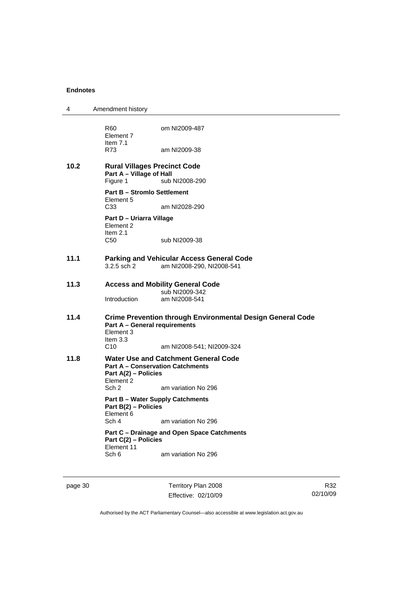| 4    | Amendment history                                                           |                                                                                        |
|------|-----------------------------------------------------------------------------|----------------------------------------------------------------------------------------|
|      | R60<br>Element 7                                                            | om NI2009-487                                                                          |
|      | Item $7.1$<br>R73                                                           | am NI2009-38                                                                           |
| 10.2 | <b>Rural Villages Precinct Code</b><br>Part A - Village of Hall<br>Figure 1 | sub NI2008-290                                                                         |
|      | <b>Part B - Stromlo Settlement</b>                                          |                                                                                        |
|      | Element 5<br>C <sub>33</sub>                                                | am NI2028-290                                                                          |
|      | Part D - Uriarra Village<br>Element 2<br>Item $2.1$                         |                                                                                        |
|      | C <sub>50</sub>                                                             | sub NI2009-38                                                                          |
| 11.1 |                                                                             | <b>Parking and Vehicular Access General Code</b>                                       |
|      | $3.2.5$ sch $2$                                                             | am NI2008-290, NI2008-541                                                              |
| 11.3 |                                                                             | <b>Access and Mobility General Code</b><br>sub NI2009-342                              |
|      | Introduction                                                                | am NI2008-541                                                                          |
| 11.4 | <b>Part A - General requirements</b><br>Element 3<br>Item $3.3$             | <b>Crime Prevention through Environmental Design General Code</b>                      |
|      | C10                                                                         | am NI2008-541; NI2009-324                                                              |
| 11.8 | Part A(2) - Policies<br>Element 2                                           | <b>Water Use and Catchment General Code</b><br><b>Part A - Conservation Catchments</b> |
|      | Sch 2                                                                       | am variation No 296                                                                    |
|      | Part B(2) - Policies<br>Element 6                                           | <b>Part B - Water Supply Catchments</b>                                                |
|      | Sch 4                                                                       | am variation No 296                                                                    |
|      | Part C(2) - Policies                                                        | Part C - Drainage and Open Space Catchments                                            |
|      | Element 11<br>Sch 6                                                         | am variation No 296                                                                    |
|      |                                                                             |                                                                                        |

page 30 Territory Plan 2008 Effective: 02/10/09

R32 02/10/09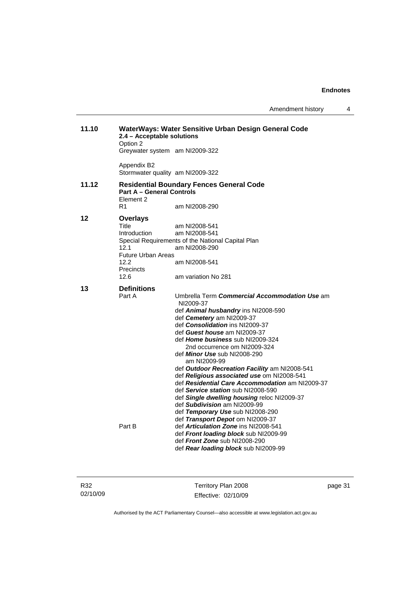| Amendment history |  |
|-------------------|--|
|-------------------|--|

| 11.10 | 2.4 - Acceptable solutions<br>Option 2        | WaterWays: Water Sensitive Urban Design General Code             |
|-------|-----------------------------------------------|------------------------------------------------------------------|
|       |                                               | Greywater system am NI2009-322                                   |
|       | Appendix B2                                   | Stormwater quality am NI2009-322                                 |
| 11.12 | <b>Part A - General Controls</b><br>Flement 2 | <b>Residential Boundary Fences General Code</b>                  |
|       | R <sub>1</sub>                                | am NI2008-290                                                    |
| 12    | <b>Overlays</b>                               |                                                                  |
|       | Title                                         | am NI2008-541                                                    |
|       | Introduction                                  | am NI2008-541                                                    |
|       |                                               | Special Requirements of the National Capital Plan                |
|       | 12.1                                          | am NI2008-290                                                    |
|       | <b>Future Urban Areas</b>                     |                                                                  |
|       | 12.2                                          | am NI2008-541                                                    |
|       | <b>Precincts</b><br>12.6                      | am variation No 281                                              |
|       |                                               |                                                                  |
| 13    | <b>Definitions</b>                            |                                                                  |
|       | Part A                                        | Umbrella Term Commercial Accommodation Use am                    |
|       |                                               | NI2009-37                                                        |
|       |                                               | def Animal husbandry ins NI2008-590                              |
|       |                                               | def Cemetery am NI2009-37                                        |
|       |                                               | def Consolidation ins NI2009-37                                  |
|       |                                               | def Guest house am NI2009-37                                     |
|       |                                               | def Home business sub NI2009-324<br>2nd occurrence om NI2009-324 |
|       |                                               | def Minor Use sub NI2008-290                                     |
|       |                                               | am NI2009-99                                                     |
|       |                                               | def Outdoor Recreation Facility am NI2008-541                    |
|       |                                               | def Religious associated use om NI2008-541                       |
|       |                                               | def Residential Care Accommodation am NI2009-37                  |
|       |                                               | def Service station sub NI2008-590                               |
|       |                                               | def Single dwelling housing reloc NI2009-37                      |
|       |                                               | def Subdivision am NI2009-99                                     |
|       |                                               | def Temporary Use sub NI2008-290                                 |
|       |                                               | def Transport Depot om NI2009-37                                 |
|       | Part B                                        | def <b>Articulation Zone</b> ins NI2008-541                      |
|       |                                               | def Front loading block sub NI2009-99                            |
|       |                                               | def Front Zone sub NI2008-290                                    |
|       |                                               | def Rear loading block sub NI2009-99                             |

Territory Plan 2008 Effective: 02/10/09 page 31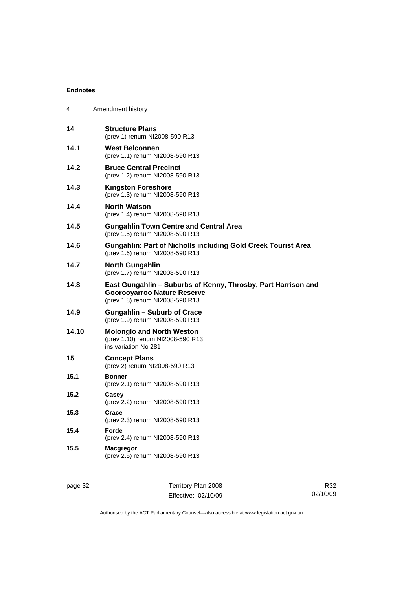| 4     | Amendment history                                                                                                                      |
|-------|----------------------------------------------------------------------------------------------------------------------------------------|
| 14    | <b>Structure Plans</b><br>(prev 1) renum NI2008-590 R13                                                                                |
| 14.1  | <b>West Belconnen</b><br>(prev 1.1) renum NI2008-590 R13                                                                               |
| 14.2  | <b>Bruce Central Precinct</b><br>(prev 1.2) renum NI2008-590 R13                                                                       |
| 14.3  | <b>Kingston Foreshore</b><br>(prev 1.3) renum NI2008-590 R13                                                                           |
| 14.4  | <b>North Watson</b><br>(prev 1.4) renum NI2008-590 R13                                                                                 |
| 14.5  | <b>Gungahlin Town Centre and Central Area</b><br>(prev 1.5) renum NI2008-590 R13                                                       |
| 14.6  | <b>Gungahlin: Part of Nicholls including Gold Creek Tourist Area</b><br>(prev 1.6) renum NI2008-590 R13                                |
| 14.7  | <b>North Gungahlin</b><br>(prev 1.7) renum NI2008-590 R13                                                                              |
| 14.8  | East Gungahlin - Suburbs of Kenny, Throsby, Part Harrison and<br><b>Goorooyarroo Nature Reserve</b><br>(prev 1.8) renum NI2008-590 R13 |
| 14.9  | <b>Gungahlin - Suburb of Crace</b><br>(prev 1.9) renum NI2008-590 R13                                                                  |
| 14.10 | <b>Molonglo and North Weston</b><br>(prev 1.10) renum NI2008-590 R13<br>ins variation No 281                                           |
| 15    | <b>Concept Plans</b><br>(prev 2) renum NI2008-590 R13                                                                                  |
| 15.1  | <b>Bonner</b><br>(prev 2.1) renum NI2008-590 R13                                                                                       |
| 15.2  | Casey<br>(prev 2.2) renum NI2008-590 R13                                                                                               |
| 15.3  | Crace<br>(prev 2.3) renum NI2008-590 R13                                                                                               |
| 15.4  | Forde<br>(prev 2.4) renum NI2008-590 R13                                                                                               |
| 15.5  | <b>Macgregor</b><br>(prev 2.5) renum NI2008-590 R13                                                                                    |
|       |                                                                                                                                        |

page 32 Territory Plan 2008 Effective: 02/10/09

R32 02/10/09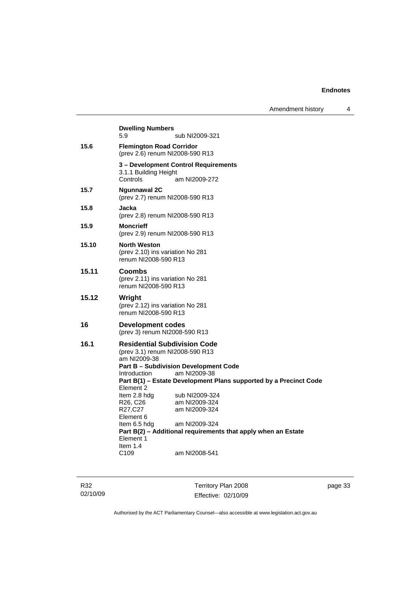| Amendment history |  |
|-------------------|--|
|-------------------|--|

|       | <b>Dwelling Numbers</b><br>5.9                                                                                                                                                                                                                                                                                                                                                                                                                                                                                                          | sub NI2009-321 |  |
|-------|-----------------------------------------------------------------------------------------------------------------------------------------------------------------------------------------------------------------------------------------------------------------------------------------------------------------------------------------------------------------------------------------------------------------------------------------------------------------------------------------------------------------------------------------|----------------|--|
| 15.6  | <b>Flemington Road Corridor</b><br>(prev 2.6) renum NI2008-590 R13                                                                                                                                                                                                                                                                                                                                                                                                                                                                      |                |  |
|       | 3 - Development Control Requirements<br>3.1.1 Building Height<br>Controls                                                                                                                                                                                                                                                                                                                                                                                                                                                               | am NI2009-272  |  |
| 15.7  | <b>Ngunnawal 2C</b><br>(prev 2.7) renum NI2008-590 R13                                                                                                                                                                                                                                                                                                                                                                                                                                                                                  |                |  |
| 15.8  | Jacka<br>(prev 2.8) renum NI2008-590 R13                                                                                                                                                                                                                                                                                                                                                                                                                                                                                                |                |  |
| 15.9  | <b>Moncrieff</b><br>(prev 2.9) renum NI2008-590 R13                                                                                                                                                                                                                                                                                                                                                                                                                                                                                     |                |  |
| 15.10 | <b>North Weston</b><br>(prev 2.10) ins variation No 281<br>renum NI2008-590 R13                                                                                                                                                                                                                                                                                                                                                                                                                                                         |                |  |
| 15.11 | Coombs<br>(prev 2.11) ins variation No 281<br>renum NI2008-590 R13                                                                                                                                                                                                                                                                                                                                                                                                                                                                      |                |  |
| 15.12 | Wright<br>(prev 2.12) ins variation No 281<br>renum NI2008-590 R13                                                                                                                                                                                                                                                                                                                                                                                                                                                                      |                |  |
| 16    | Development codes<br>(prev 3) renum NI2008-590 R13                                                                                                                                                                                                                                                                                                                                                                                                                                                                                      |                |  |
| 16.1  | <b>Residential Subdivision Code</b><br>(prev 3.1) renum NI2008-590 R13<br>am NI2009-38<br><b>Part B - Subdivision Development Code</b><br>am NI2009-38<br><b>Introduction</b><br>Part B(1) – Estate Development Plans supported by a Precinct Code<br>Element 2<br>Item 2.8 hdg<br>sub NI2009-324<br>R26, C26<br>am NI2009-324<br>R27,C27<br>am NI2009-324<br>Element 6<br>am NI2009-324<br>Item 6.5 hdg<br>Part B(2) - Additional requirements that apply when an Estate<br>Element 1<br>Item 1.4<br>C <sub>109</sub><br>am NI2008-541 |                |  |

R32 02/10/09

Territory Plan 2008 Effective: 02/10/09 page 33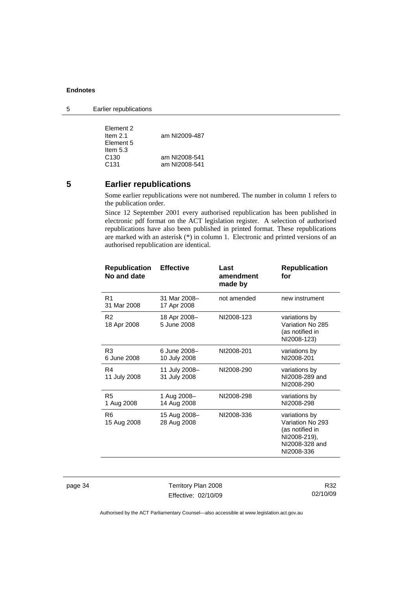5 Earlier republications

| Element 2        |               |
|------------------|---------------|
| Item $2.1$       | am NI2009-487 |
| Element 5        |               |
| Item $5.3$       |               |
| C <sub>130</sub> | am NI2008-541 |
| C <sub>131</sub> | am NI2008-541 |

# **5 Earlier republications**

Some earlier republications were not numbered. The number in column 1 refers to the publication order.

Since 12 September 2001 every authorised republication has been published in electronic pdf format on the ACT legislation register. A selection of authorised republications have also been published in printed format. These republications are marked with an asterisk (\*) in column 1. Electronic and printed versions of an authorised republication are identical.

| <b>Republication</b><br>No and date | <b>Effective</b>              | Last<br>amendment<br>made by | <b>Republication</b><br>for                                                                          |
|-------------------------------------|-------------------------------|------------------------------|------------------------------------------------------------------------------------------------------|
| R <sub>1</sub><br>31 Mar 2008       | 31 Mar 2008-<br>17 Apr 2008   | not amended                  | new instrument                                                                                       |
| R <sub>2</sub><br>18 Apr 2008       | 18 Apr 2008-<br>5 June 2008   | NI2008-123                   | variations by<br>Variation No 285<br>(as notified in<br>NI2008-123)                                  |
| R3<br>6 June 2008                   | 6 June 2008-<br>10 July 2008  | NI2008-201                   | variations by<br>NI2008-201                                                                          |
| R4<br>11 July 2008                  | 11 July 2008-<br>31 July 2008 | NI2008-290                   | variations by<br>NI2008-289 and<br>NI2008-290                                                        |
| R <sub>5</sub><br>1 Aug 2008        | 1 Aug 2008-<br>14 Aug 2008    | NI2008-298                   | variations by<br>NI2008-298                                                                          |
| R6<br>15 Aug 2008                   | 15 Aug 2008-<br>28 Aug 2008   | NI2008-336                   | variations by<br>Variation No 293<br>(as notified in<br>NI2008-219),<br>NI2008-328 and<br>NI2008-336 |

page 34 Territory Plan 2008 Effective: 02/10/09

R32 02/10/09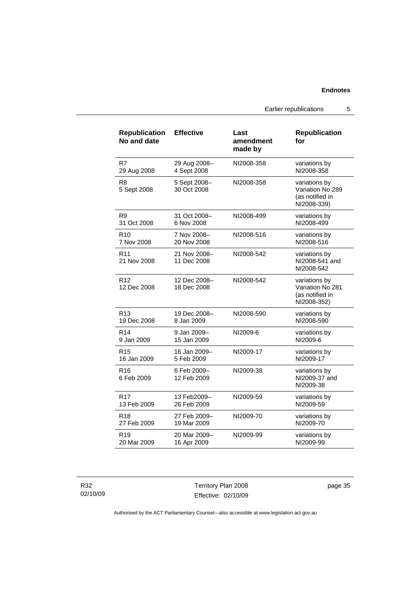Earlier republications 5

| <b>Republication</b><br>No and date | <b>Effective</b>            | Last<br>amendment<br>made by | <b>Republication</b><br>for                                         |
|-------------------------------------|-----------------------------|------------------------------|---------------------------------------------------------------------|
| R7                                  | 29 Aug 2008-                | NI2008-358                   | variations by                                                       |
| 29 Aug 2008                         | 4 Sept 2008                 |                              | NI2008-358                                                          |
| R8<br>5 Sept 2008                   | 5 Sept 2008-<br>30 Oct 2008 | NI2008-358                   | variations by<br>Variation No 289<br>(as notified in<br>NI2008-339) |
| R9                                  | 31 Oct 2008-                | NI2008-499                   | variations by                                                       |
| 31 Oct 2008                         | 6 Nov 2008                  |                              | NI2008-499                                                          |
| R10                                 | 7 Nov 2008-                 | NI2008-516                   | variations by                                                       |
| 7 Nov 2008                          | 20 Nov 2008                 |                              | NI2008-516                                                          |
| R <sub>11</sub><br>21 Nov 2008      | 21 Nov 2008-<br>11 Dec 2008 | NI2008-542                   | variations by<br>NI2008-541 and<br>NI2008-542                       |
| R <sub>12</sub><br>12 Dec 2008      | 12 Dec 2008-<br>18 Dec 2008 | NI2008-542                   | variations by<br>Variation No 281<br>(as notified in<br>NI2008-352) |
| R <sub>13</sub>                     | 19 Dec 2008-                | NI2008-590                   | variations by                                                       |
| 19 Dec 2008                         | 8 Jan 2009                  |                              | NI2008-590                                                          |
| R <sub>14</sub>                     | 9 Jan 2009-                 | NI2009-6                     | variations by                                                       |
| 9 Jan 2009                          | 15 Jan 2009                 |                              | NI2009-6                                                            |
| R <sub>15</sub>                     | 16 Jan 2009-                | NI2009-17                    | variations by                                                       |
| 16 Jan 2009                         | 5 Feb 2009                  |                              | NI2009-17                                                           |
| R <sub>16</sub><br>6 Feb 2009       | 6 Feb 2009-<br>12 Feb 2009  | NI2009-38                    | variations by<br>NI2009-37 and<br>NI2009-38                         |
| R <sub>17</sub>                     | 13 Feb2009-                 | NI2009-59                    | variations by                                                       |
| 13 Feb 2009                         | 26 Feb 2009                 |                              | NI2009-59                                                           |
| R <sub>18</sub>                     | 27 Feb 2009-                | NI2009-70                    | variations by                                                       |
| 27 Feb 2009                         | 19 Mar 2009                 |                              | NI2009-70                                                           |
| R <sub>19</sub>                     | 20 Mar 2009-                | NI2009-99                    | variations by                                                       |
| 20 Mar 2009                         | 16 Apr 2009                 |                              | NI2009-99                                                           |

R32 02/10/09

Territory Plan 2008 Effective: 02/10/09 page 35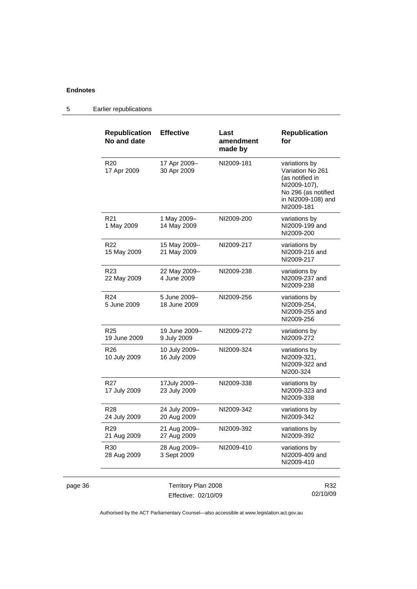|         | <b>Republication</b><br>No and date | <b>Effective</b>              | Last<br>amendment<br>made by | <b>Republication</b><br>for                                                                                                     |
|---------|-------------------------------------|-------------------------------|------------------------------|---------------------------------------------------------------------------------------------------------------------------------|
|         | R <sub>20</sub><br>17 Apr 2009      | 17 Apr 2009-<br>30 Apr 2009   | NI2009-181                   | variations by<br>Variation No 261<br>(as notified in<br>NI2009-107),<br>No 296 (as notified<br>in NI2009-108) and<br>NI2009-181 |
|         | R <sub>21</sub><br>1 May 2009       | 1 May 2009-<br>14 May 2009    | NI2009-200                   | variations by<br>NI2009-199 and<br>NI2009-200                                                                                   |
|         | R <sub>22</sub><br>15 May 2009      | 15 May 2009-<br>21 May 2009   | NI2009-217                   | variations by<br>NI2009-216 and<br>NI2009-217                                                                                   |
|         | R <sub>23</sub><br>22 May 2009      | 22 May 2009-<br>4 June 2009   | NI2009-238                   | variations by<br>NI2009-237 and<br>NI2009-238                                                                                   |
|         | R <sub>24</sub><br>5 June 2009      | 5 June 2009-<br>18 June 2009  | NI2009-256                   | variations by<br>NI2009-254,<br>NI2009-255 and<br>NI2009-256                                                                    |
|         | R <sub>25</sub><br>19 June 2009     | 19 June 2009-<br>9 July 2009  | NI2009-272                   | variations by<br>NI2009-272                                                                                                     |
|         | R <sub>26</sub><br>10 July 2009     | 10 July 2009-<br>16 July 2009 | NI2009-324                   | variations by<br>NI2009-321,<br>NI2009-322 and<br>NI200-324                                                                     |
|         | R <sub>27</sub><br>17 July 2009     | 17July 2009-<br>23 July 2009  | NI2009-338                   | variations by<br>NI2009-323 and<br>NI2009-338                                                                                   |
|         | R <sub>28</sub><br>24 July 2009     | 24 July 2009-<br>20 Aug 2009  | NI2009-342                   | variations by<br>NI2009-342                                                                                                     |
|         | R <sub>29</sub><br>21 Aug 2009      | 21 Aug 2009-<br>27 Aug 2009   | NI2009-392                   | variations by<br>NI2009-392                                                                                                     |
|         | R30<br>28 Aug 2009                  | 28 Aug 2009-<br>3 Sept 2009   | NI2009-410                   | variations by<br>NI2009-409 and<br>NI2009-410                                                                                   |
| page 36 |                                     | Territory Plan 2008           |                              | R32                                                                                                                             |

5 Earlier republications

Effective: 02/10/09

R32 02/10/09